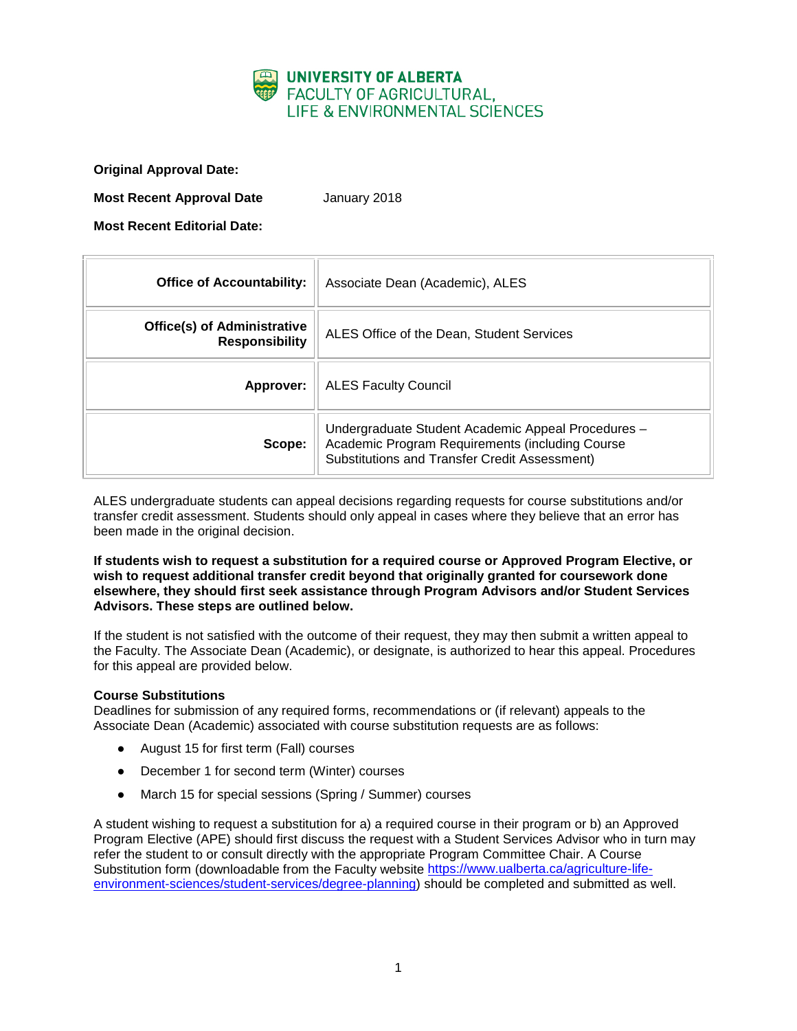

**Original Approval Date:**

**Most Recent Approval Date** January 2018

**Most Recent Editorial Date:**

| <b>Office of Accountability:</b>                            | Associate Dean (Academic), ALES                                                                                                                        |
|-------------------------------------------------------------|--------------------------------------------------------------------------------------------------------------------------------------------------------|
| <b>Office(s) of Administrative</b><br><b>Responsibility</b> | ALES Office of the Dean, Student Services                                                                                                              |
| Approver:                                                   | <b>ALES Faculty Council</b>                                                                                                                            |
| Scope:                                                      | Undergraduate Student Academic Appeal Procedures -<br>Academic Program Requirements (including Course<br>Substitutions and Transfer Credit Assessment) |

ALES undergraduate students can appeal decisions regarding requests for course substitutions and/or transfer credit assessment. Students should only appeal in cases where they believe that an error has been made in the original decision.

**If students wish to request a substitution for a required course or Approved Program Elective, or wish to request additional transfer credit beyond that originally granted for coursework done elsewhere, they should first seek assistance through Program Advisors and/or Student Services Advisors. These steps are outlined below.**

If the student is not satisfied with the outcome of their request, they may then submit a written appeal to the Faculty. The Associate Dean (Academic), or designate, is authorized to hear this appeal. Procedures for this appeal are provided below.

### **Course Substitutions**

Deadlines for submission of any required forms, recommendations or (if relevant) appeals to the Associate Dean (Academic) associated with course substitution requests are as follows:

- August 15 for first term (Fall) courses
- December 1 for second term (Winter) courses
- March 15 for special sessions (Spring / Summer) courses

A student wishing to request a substitution for a) a required course in their program or b) an Approved Program Elective (APE) should first discuss the request with a Student Services Advisor who in turn may refer the student to or consult directly with the appropriate Program Committee Chair. A Course Substitution form (downloadable from the Faculty website [https://www.ualberta.ca/agriculture-life](https://www.ualberta.ca/agriculture-life-environment-sciences/student-services/degree-planning)[environment-sciences/student-services/degree-planning\)](https://www.ualberta.ca/agriculture-life-environment-sciences/student-services/degree-planning) should be completed and submitted as well.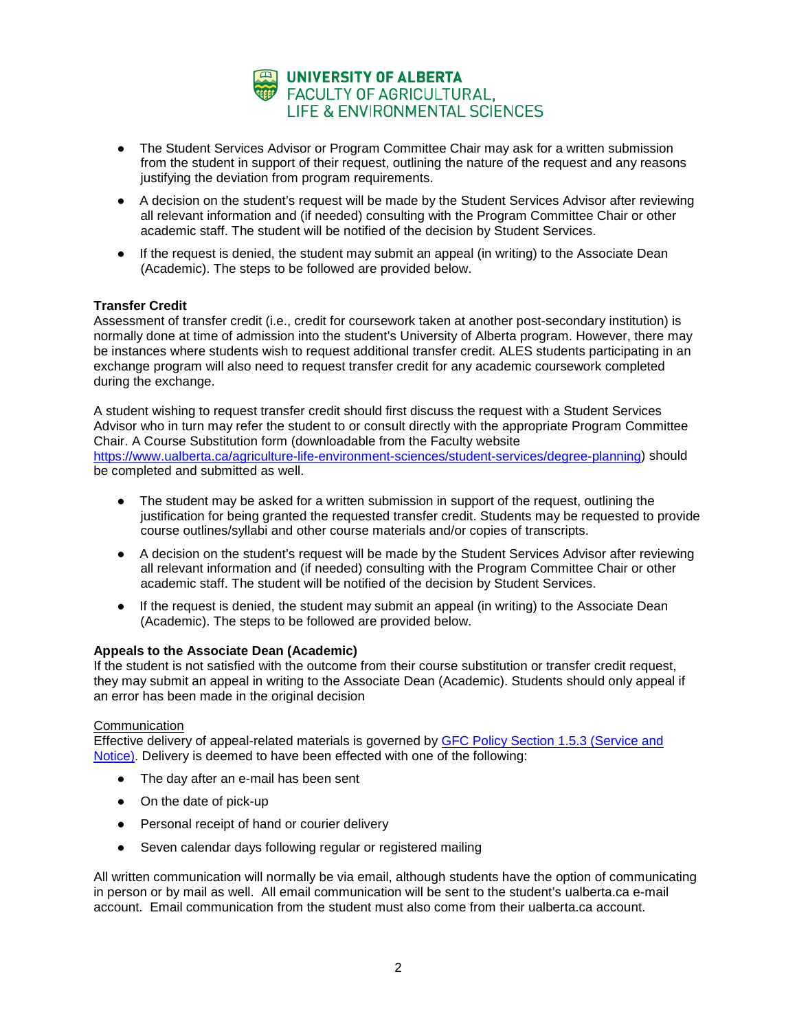

- The Student Services Advisor or Program Committee Chair may ask for a written submission from the student in support of their request, outlining the nature of the request and any reasons justifying the deviation from program requirements.
- A decision on the student's request will be made by the Student Services Advisor after reviewing all relevant information and (if needed) consulting with the Program Committee Chair or other academic staff. The student will be notified of the decision by Student Services.
- If the request is denied, the student may submit an appeal (in writing) to the Associate Dean (Academic). The steps to be followed are provided below.

### **Transfer Credit**

Assessment of transfer credit (i.e., credit for coursework taken at another post-secondary institution) is normally done at time of admission into the student's University of Alberta program. However, there may be instances where students wish to request additional transfer credit. ALES students participating in an exchange program will also need to request transfer credit for any academic coursework completed during the exchange.

A student wishing to request transfer credit should first discuss the request with a Student Services Advisor who in turn may refer the student to or consult directly with the appropriate Program Committee Chair. A Course Substitution form (downloadable from the Faculty website [https://www.ualberta.ca/agriculture-life-environment-sciences/student-services/degree-planning\)](https://www.ualberta.ca/agriculture-life-environment-sciences/student-services/degree-planning) should be completed and submitted as well.

- The student may be asked for a written submission in support of the request, outlining the justification for being granted the requested transfer credit. Students may be requested to provide course outlines/syllabi and other course materials and/or copies of transcripts.
- A decision on the student's request will be made by the Student Services Advisor after reviewing all relevant information and (if needed) consulting with the Program Committee Chair or other academic staff. The student will be notified of the decision by Student Services.
- If the request is denied, the student may submit an appeal (in writing) to the Associate Dean (Academic). The steps to be followed are provided below.

# **Appeals to the Associate Dean (Academic)**

If the student is not satisfied with the outcome from their course substitution or transfer credit request, they may submit an appeal in writing to the Associate Dean (Academic). Students should only appeal if an error has been made in the original decision

## **Communication**

Effective delivery of appeal-related materials is governed by [GFC Policy Section 1.5.3 \(Service and](http://www.governance.ualberta.ca/StudentAppeals/AcademicAppealsPolicy/15AppealProcedures/153ServiceandNotice.aspx)  [Notice\).](http://www.governance.ualberta.ca/StudentAppeals/AcademicAppealsPolicy/15AppealProcedures/153ServiceandNotice.aspx) Delivery is deemed to have been effected with one of the following:

- The day after an e-mail has been sent
- On the date of pick-up
- Personal receipt of hand or courier delivery
- Seven calendar days following regular or registered mailing

All written communication will normally be via email, although students have the option of communicating in person or by mail as well. All email communication will be sent to the student's ualberta.ca e-mail account. Email communication from the student must also come from their ualberta.ca account.